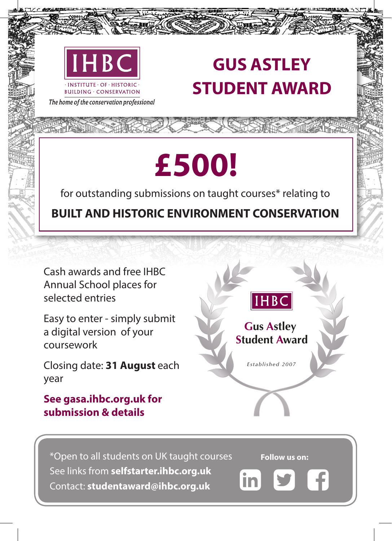

## **GUS ASTLEY STUDENT AWARD**

The home of the conservation professional

## **£500!**

for outstanding submissions on taught courses\* relating to

**BUILT AND HISTORIC ENVIRONMENT CONSERVATION**

Cash awards and free IHBC Annual School places for selected entries

Easy to enter - simply submit a digital version of your coursework

Closing date: **31 August** each year

## **See gasa.ihbc.org.uk for submission & details**



\*Open to all students on UK taught courses See links from **selfstarter.ihbc.org.uk** Contact: **studentaward@ihbc.org.uk**

**Follow us on:** 

in